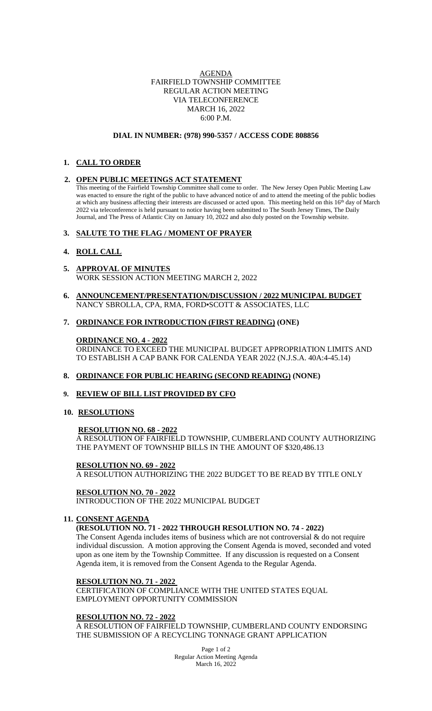## AGENDA FAIRFIELD TOWNSHIP COMMITTEE REGULAR ACTION MEETING VIA TELECONFERENCE MARCH 16, 2022 6:00 P.M.

#### **DIAL IN NUMBER: (978) 990-5357 / ACCESS CODE 808856**

# **1. CALL TO ORDER**

### **2. OPEN PUBLIC MEETINGS ACT STATEMENT**

This meeting of the Fairfield Township Committee shall come to order. The New Jersey Open Public Meeting Law was enacted to ensure the right of the public to have advanced notice of and to attend the meeting of the public bodies at which any business affecting their interests are discussed or acted upon. This meeting held on this  $16<sup>th</sup>$  day of March 2022 via teleconference is held pursuant to notice having been submitted to The South Jersey Times, The Daily Journal, and The Press of Atlantic City on January 10, 2022 and also duly posted on the Township website.

## **3. SALUTE TO THE FLAG / MOMENT OF PRAYER**

## **4. ROLL CALL**

- **5. APPROVAL OF MINUTES** WORK SESSION ACTION MEETING MARCH 2, 2022
- **6. ANNOUNCEMENT/PRESENTATION/DISCUSSION / 2022 MUNICIPAL BUDGET** NANCY SBROLLA, CPA, RMA, FORD▪SCOTT & ASSOCIATES, LLC

### **7. ORDINANCE FOR INTRODUCTION (FIRST READING) (ONE)**

**ORDINANCE NO. 4 - 2022** ORDINANCE TO EXCEED THE MUNICIPAL BUDGET APPROPRIATION LIMITS AND TO ESTABLISH A CAP BANK FOR CALENDA YEAR 2022 (N.J.S.A. 40A:4-45.14)

### **8. ORDINANCE FOR PUBLIC HEARING (SECOND READING) (NONE)**

### **9. REVIEW OF BILL LIST PROVIDED BY CFO**

## **10. RESOLUTIONS**

### **RESOLUTION NO. 68 - 2022**

A RESOLUTION OF FAIRFIELD TOWNSHIP, CUMBERLAND COUNTY AUTHORIZING THE PAYMENT OF TOWNSHIP BILLS IN THE AMOUNT OF \$320,486.13

### **RESOLUTION NO. 69 - 2022**

A RESOLUTION AUTHORIZING THE 2022 BUDGET TO BE READ BY TITLE ONLY

### **RESOLUTION NO. 70 - 2022**

INTRODUCTION OF THE 2022 MUNICIPAL BUDGET

## **11. CONSENT AGENDA**

### **(RESOLUTION NO. 71 - 2022 THROUGH RESOLUTION NO. 74 - 2022)**

The Consent Agenda includes items of business which are not controversial & do not require individual discussion. A motion approving the Consent Agenda is moved, seconded and voted upon as one item by the Township Committee. If any discussion is requested on a Consent Agenda item, it is removed from the Consent Agenda to the Regular Agenda.

# **RESOLUTION NO. 71 - 2022**

CERTIFICATION OF COMPLIANCE WITH THE UNITED STATES EQUAL EMPLOYMENT OPPORTUNITY COMMISSION

### **RESOLUTION NO. 72 - 2022**

A RESOLUTION OF FAIRFIELD TOWNSHIP, CUMBERLAND COUNTY ENDORSING THE SUBMISSION OF A RECYCLING TONNAGE GRANT APPLICATION

> Page 1 of 2 Regular Action Meeting Agenda March 16, 2022